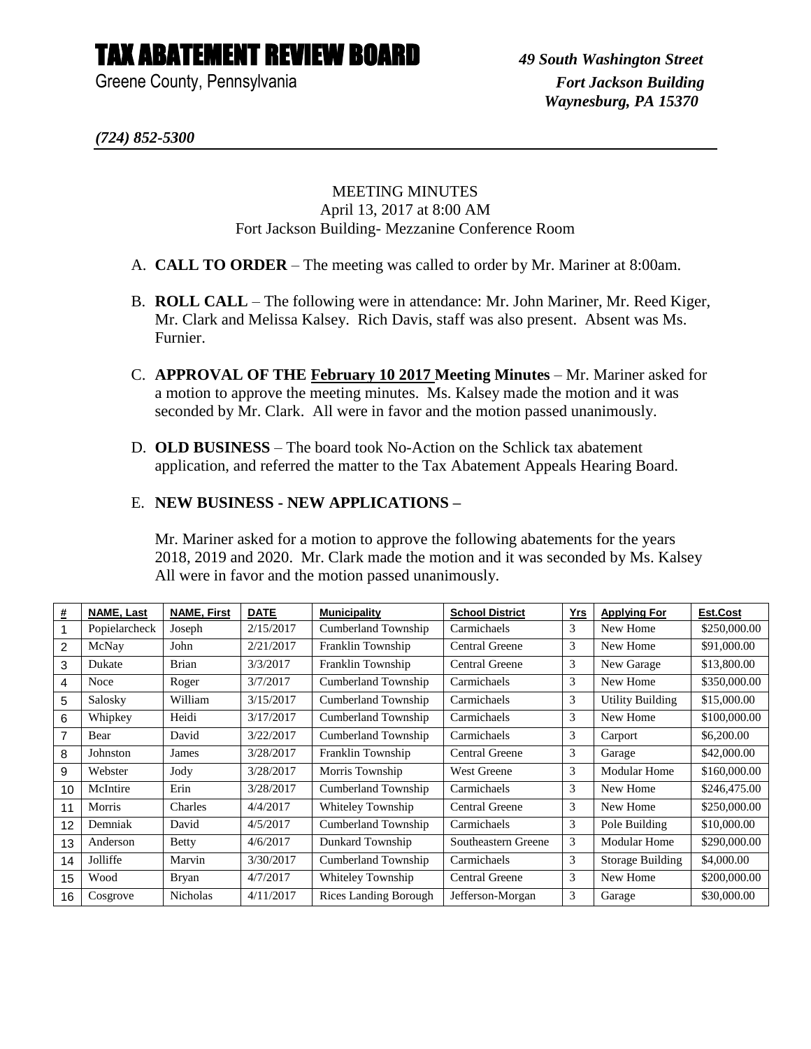## TAX ABATEMENT REVIEW BOARD *49 South Washington Street*

Greene County, Pennsylvania *Fort Jackson Building* 

*(724) 852-5300*

## MEETING MINUTES April 13, 2017 at 8:00 AM Fort Jackson Building- Mezzanine Conference Room

- A. **CALL TO ORDER** The meeting was called to order by Mr. Mariner at 8:00am.
- B. **ROLL CALL** The following were in attendance: Mr. John Mariner, Mr. Reed Kiger, Mr. Clark and Melissa Kalsey. Rich Davis, staff was also present. Absent was Ms. Furnier.
- C. **APPROVAL OF THE February 10 2017 Meeting Minutes** Mr. Mariner asked for a motion to approve the meeting minutes. Ms. Kalsey made the motion and it was seconded by Mr. Clark. All were in favor and the motion passed unanimously.
- D. **OLD BUSINESS** The board took No-Action on the Schlick tax abatement application, and referred the matter to the Tax Abatement Appeals Hearing Board.

## E. **NEW BUSINESS - NEW APPLICATIONS –**

Mr. Mariner asked for a motion to approve the following abatements for the years 2018, 2019 and 2020. Mr. Clark made the motion and it was seconded by Ms. Kalsey All were in favor and the motion passed unanimously.

| #              | <b>NAME, Last</b> | <b>NAME, First</b> | <b>DATE</b> | <b>Municipality</b>          | <b>School District</b> | <u>Yrs</u> | <b>Applying For</b>     | Est.Cost     |
|----------------|-------------------|--------------------|-------------|------------------------------|------------------------|------------|-------------------------|--------------|
|                | Popielarcheck     | Joseph             | 2/15/2017   | Cumberland Township          | Carmichaels            | 3          | New Home                | \$250,000.00 |
| 2              | McNay             | John               | 2/21/2017   | Franklin Township            | Central Greene         | 3          | New Home                | \$91,000.00  |
| 3              | Dukate            | <b>Brian</b>       | 3/3/2017    | Franklin Township            | Central Greene         | 3          | New Garage              | \$13,800.00  |
| 4              | Noce              | Roger              | 3/7/2017    | Cumberland Township          | Carmichaels            | 3          | New Home                | \$350,000.00 |
| 5              | Salosky           | William            | 3/15/2017   | Cumberland Township          | Carmichaels            | 3          | <b>Utility Building</b> | \$15,000.00  |
| 6              | Whipkey           | Heidi              | 3/17/2017   | <b>Cumberland Township</b>   | Carmichaels            | 3          | New Home                | \$100,000.00 |
| $\overline{7}$ | Bear              | David              | 3/22/2017   | Cumberland Township          | Carmichaels            | 3          | Carport                 | \$6,200.00   |
| 8              | Johnston          | James              | 3/28/2017   | Franklin Township            | Central Greene         | 3          | Garage                  | \$42,000.00  |
| 9              | Webster           | Jody               | 3/28/2017   | Morris Township              | <b>West Greene</b>     | 3          | <b>Modular Home</b>     | \$160,000.00 |
| 10             | McIntire          | Erin               | 3/28/2017   | Cumberland Township          | Carmichaels            | 3          | New Home                | \$246,475.00 |
| 11             | Morris            | Charles            | 4/4/2017    | Whiteley Township            | Central Greene         | 3          | New Home                | \$250,000.00 |
| 12             | Demniak           | David              | 4/5/2017    | Cumberland Township          | Carmichaels            | 3          | Pole Building           | \$10,000.00  |
| 13             | Anderson          | <b>Betty</b>       | 4/6/2017    | Dunkard Township             | Southeastern Greene    | 3          | <b>Modular Home</b>     | \$290,000.00 |
| 14             | Jolliffe          | Marvin             | 3/30/2017   | Cumberland Township          | Carmichaels            | 3          | Storage Building        | \$4,000.00   |
| 15             | Wood              | Bryan              | 4/7/2017    | Whiteley Township            | Central Greene         | 3          | New Home                | \$200,000.00 |
| 16             | Cosgrove          | Nicholas           | 4/11/2017   | <b>Rices Landing Borough</b> | Jefferson-Morgan       | 3          | Garage                  | \$30,000.00  |